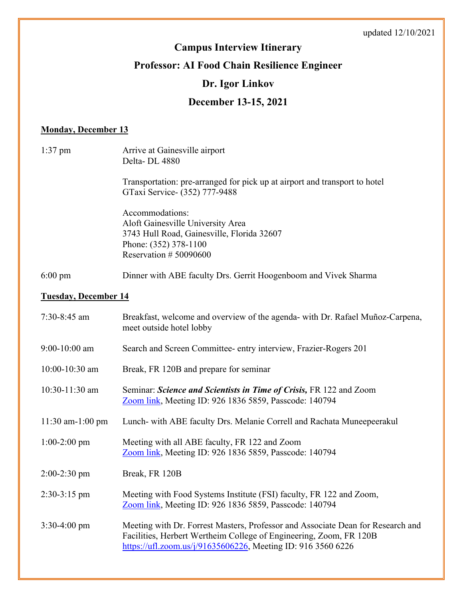# **Campus Interview Itinerary**

# **Professor: AI Food Chain Resilience Engineer**

# **Dr. Igor Linkov**

# **December 13-15, 2021**

### **Monday, December 13**

| $1:37$ pm                   | Arrive at Gainesville airport<br>Delta-DL 4880                                                                                                                                                                        |  |
|-----------------------------|-----------------------------------------------------------------------------------------------------------------------------------------------------------------------------------------------------------------------|--|
|                             | Transportation: pre-arranged for pick up at airport and transport to hotel<br>GTaxi Service- (352) 777-9488                                                                                                           |  |
|                             | Accommodations:<br>Aloft Gainesville University Area<br>3743 Hull Road, Gainesville, Florida 32607<br>Phone: (352) 378-1100<br>Reservation #50090600                                                                  |  |
| $6:00 \text{ pm}$           | Dinner with ABE faculty Drs. Gerrit Hoogenboom and Vivek Sharma                                                                                                                                                       |  |
| <b>Tuesday, December 14</b> |                                                                                                                                                                                                                       |  |
| 7:30-8:45 am                | Breakfast, welcome and overview of the agenda- with Dr. Rafael Muñoz-Carpena,<br>meet outside hotel lobby                                                                                                             |  |
| $9:00-10:00$ am             | Search and Screen Committee- entry interview, Frazier-Rogers 201                                                                                                                                                      |  |
| 10:00-10:30 am              | Break, FR 120B and prepare for seminar                                                                                                                                                                                |  |
| 10:30-11:30 am              | Seminar: Science and Scientists in Time of Crisis, FR 122 and Zoom<br>Zoom link, Meeting ID: 926 1836 5859, Passcode: 140794                                                                                          |  |
| $11:30$ am- $1:00$ pm       | Lunch- with ABE faculty Drs. Melanie Correll and Rachata Muneepeerakul                                                                                                                                                |  |
| $1:00-2:00$ pm              | Meeting with all ABE faculty, FR 122 and Zoom<br>Zoom link, Meeting ID: 926 1836 5859, Passcode: 140794                                                                                                               |  |
| $2:00-2:30$ pm              | Break, FR 120B                                                                                                                                                                                                        |  |
| $2:30-3:15$ pm              | Meeting with Food Systems Institute (FSI) faculty, FR 122 and Zoom,<br>Zoom link, Meeting ID: 926 1836 5859, Passcode: 140794                                                                                         |  |
| $3:30-4:00$ pm              | Meeting with Dr. Forrest Masters, Professor and Associate Dean for Research and<br>Facilities, Herbert Wertheim College of Engineering, Zoom, FR 120B<br>https://ufl.zoom.us/j/91635606226, Meeting ID: 916 3560 6226 |  |